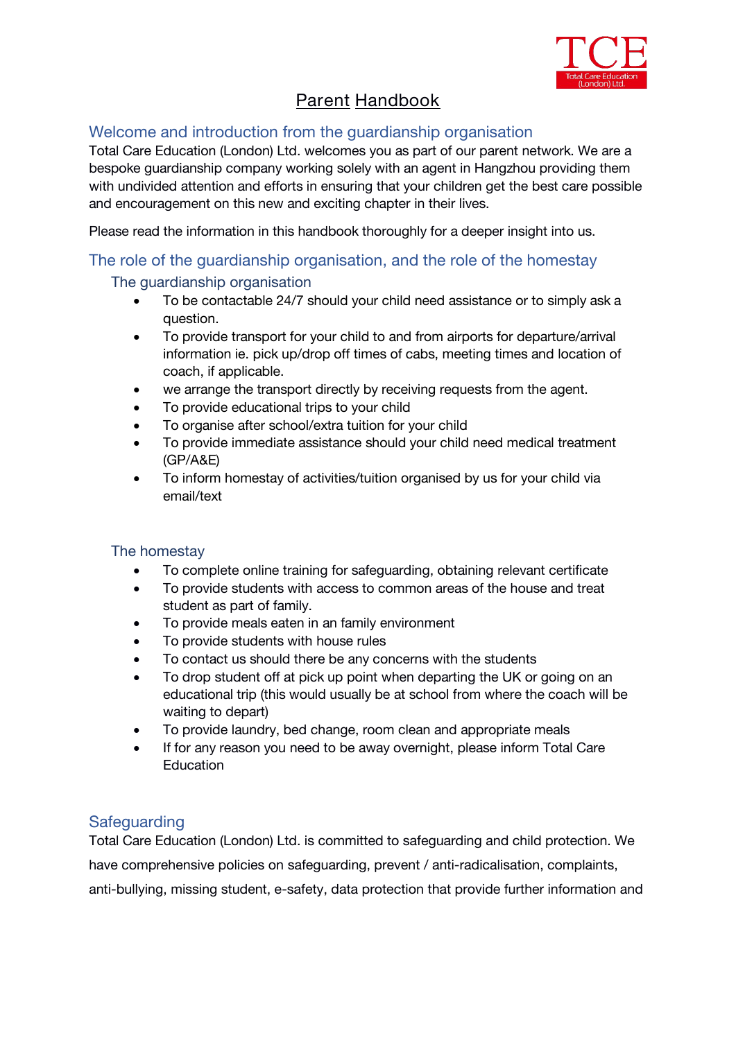

# **Parent Handbook**

# Welcome and introduction from the guardianship organisation

*Total Care Education (London) Ltd. welcomes you as part of our parent network. We are a bespoke guardianship company working solely with an agent in Hangzhou providing them with undivided attention and efforts in ensuring that your children get the best care possible and encouragement on this new and exciting chapter in their lives.*

*Please read the information in this handbook thoroughly for a deeper insight into us.*

#### The role of the guardianship organisation, and the role of the homestay

#### The guardianship organisation

- *To be contactable 24/7 should your child need assistance or to simply ask a question.*
- *To provide transport for your child to and from airports for departure/arrival information ie. pick up/drop off times of cabs, meeting times and location of coach, if applicable.*
- we arrange the transport directly by receiving requests from the agent.
- *To provide educational trips to your child*
- *To organise after school/extra tuition for your child*
- *To provide immediate assistance should your child need medical treatment (GP/A&E)*
- *To inform homestay of activities/tuition organised by us for your child via email/text*

#### The homestay

- *To complete online training for safeguarding, obtaining relevant certificate*
- *To provide students with access to common areas of the house and treat student as part of family.*
- *To provide meals eaten in an family environment*
- *To provide students with house rules*
- *To contact us should there be any concerns with the students*
- *To drop student off at pick up point when departing the UK orgoing on an educational trip (thiswould usually be at school from where the coach will be waiting to depart)*
- *To provide laundry, bed change, room clean and appropriate meals*
- *If for any reason you need to be away overnight, please inform Total Care Education*

# **Safeguarding**

*Total Care Education (London) Ltd.* is committed to safeguarding and child protection. We have comprehensive policies on safeguarding, prevent / anti-radicalisation, complaints, anti-bullying, missing student, e-safety, data protection that provide further information and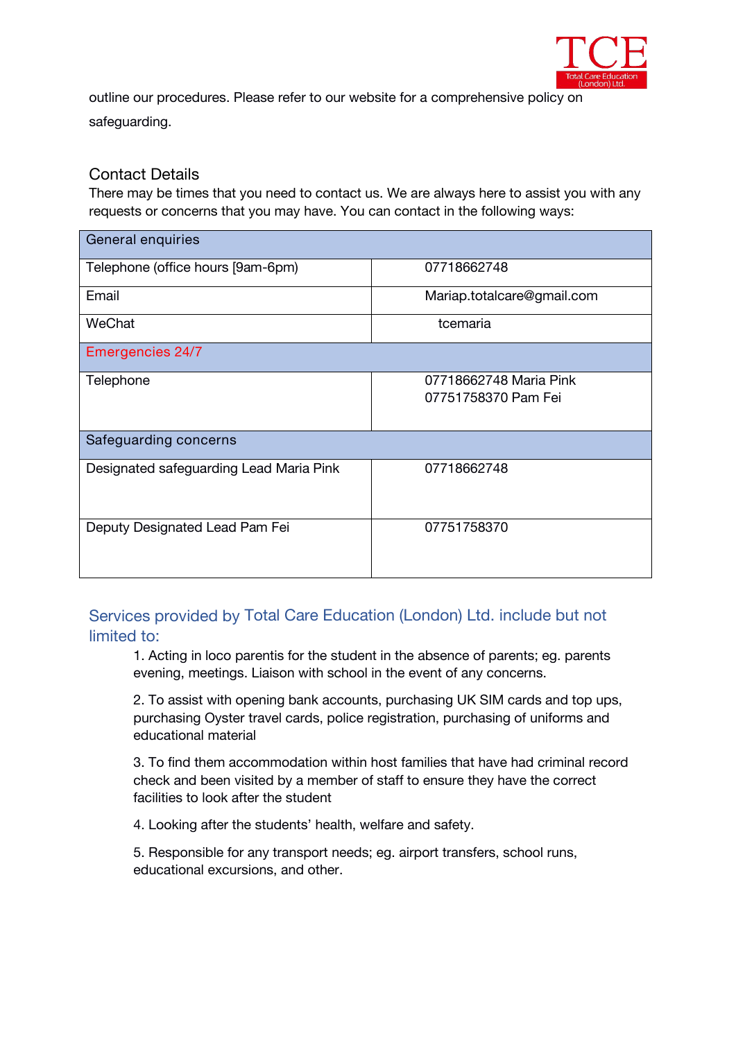

outline our procedures. Please refer to our website for a comprehensive policy on safeguarding.

#### Contact Details

There may be times that you need to contact us. We are always here to assist you with any requests or concerns that you may have. You can contact in the following ways:

| General enquiries                       |                                               |
|-----------------------------------------|-----------------------------------------------|
| Telephone (office hours [9am-6pm)       | 07718662748                                   |
| Email                                   | Mariap.totalcare@gmail.com                    |
| WeChat                                  | tcemaria                                      |
| <b>Emergencies 24/7</b>                 |                                               |
| Telephone                               | 07718662748 Maria Pink<br>07751758370 Pam Fei |
| Safeguarding concerns                   |                                               |
| Designated safeguarding Lead Maria Pink | 07718662748                                   |
| Deputy Designated Lead Pam Fei          | 07751758370                                   |

Services provided by *Total Care Education (London) Ltd. include but not limited to:*

1. Acting in loco parentis for the student in the absence of parents; eg. parents evening, meetings. Liaison with school in the event of any concerns.

2. To assist with opening bank accounts, purchasing UK SIM cards and top ups, purchasing Oyster travel cards, police registration, purchasing of uniforms and educational material

3. To find them accommodation within host families that have had criminal record check and been visited by a member of staff to ensure they have the correct facilities to look after the student

4. Looking after the students' health, welfare and safety.

5. Responsible for any transport needs; eg. airport transfers, school runs, educational excursions, and other.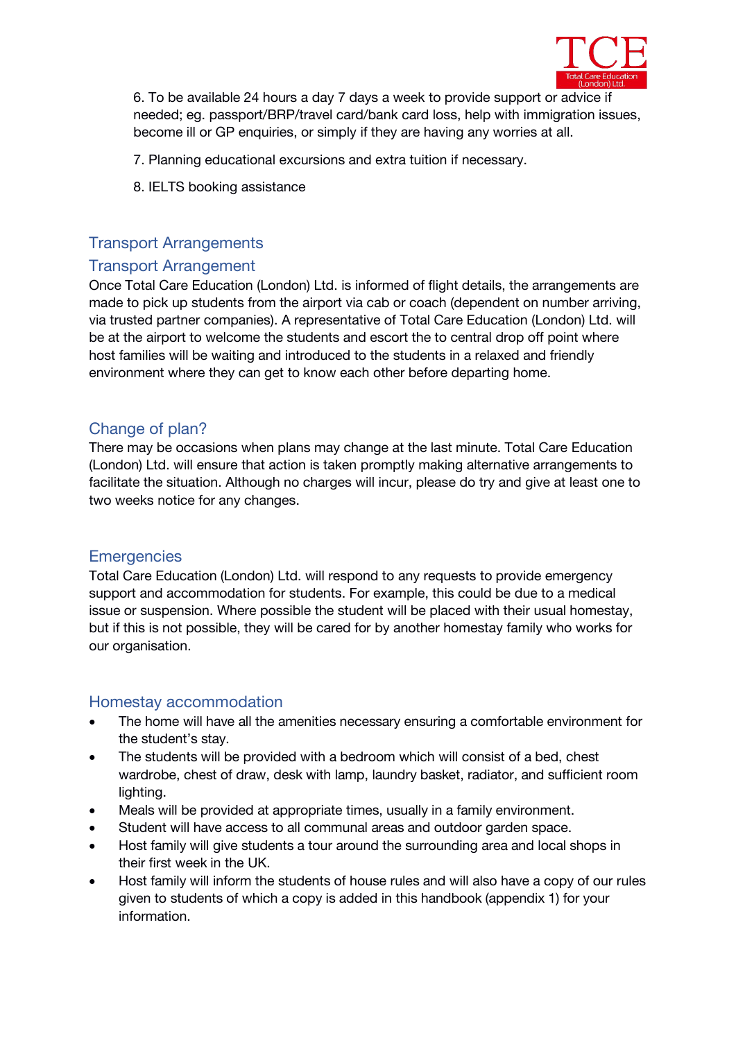

6. To be available 24 hours a day 7 days a week to provide support or advice if needed; eg. passport/BRP/travel card/bank card loss, help with immigration issues, become ill or GP enquiries, or simply if they are having any worries at all.

7. Planning educational excursions and extra tuition if necessary.

8. IELTS booking assistance

# Transport Arrangements

# Transport Arrangement

Once Total Care Education (London) Ltd. is informed of flight details, the arrangements are made to pick up students from the airport via cab or coach (dependent on number arriving, via trusted partner companies). A representative of Total Care Education (London) Ltd. will be at the airport to welcome the students and escort the to central drop off point where host families will be waiting and introduced to the students in a relaxed and friendly environment where they can get to know each other before departing home.

# Change of plan?

There may be occasions when plans may change at the last minute. Total Care Education (London) Ltd. will ensure that action is taken promptly making alternative arrangements to facilitate the situation. Although no charges will incur, please do try and give at least one to two weeks notice for any changes.

#### **Emergencies**

Total Care Education (London) Ltd. will respond to any requests to provide emergency support and accommodation for students. For example, this could be due to a medical issue or suspension. Where possible the student will be placed with their usual homestay, but if this is not possible, they will be cared for by another homestay family who works for our organisation.

# Homestay accommodation

- *The home will have all the amenities necessary ensuring a comfortable environment for the student's stay.*
- *The students will be provided with a bedroom which will consist of a bed, chest wardrobe, chest of draw, desk with lamp, laundry basket, radiator, and sufficient room lighting.*
- *Meals will be provided at appropriate times, usually in a family environment.*
- *Student will have access to all communal areas and outdoor garden space.*
- *Host family will give students a touraround the surrounding area and local shops in their first week in the UK.*
- *Host family will inform the students of house rules and will also have a copy of our rules given to students ofwhich acopy is added in this handbook (appendix 1) for your information.*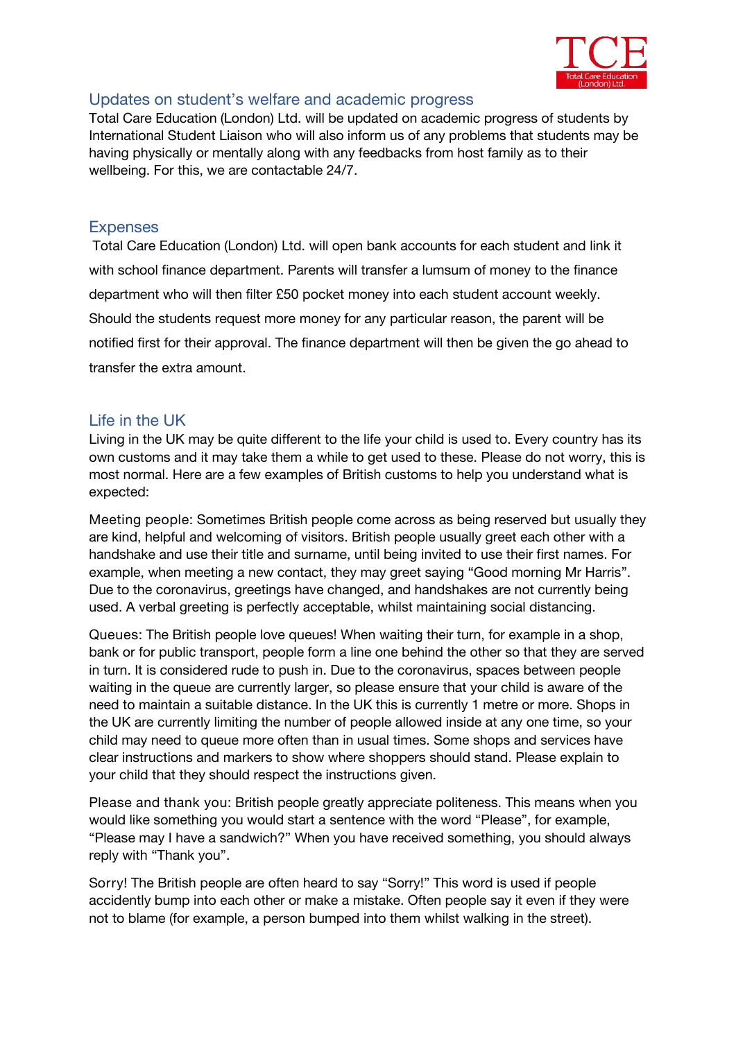

#### Updates on student's welfare and academic progress

Total Care Education (London) Ltd. will be updated on academic progress of students by International Student Liaison who will also inform us of any problems that students may be having physically or mentally along with any feedbacks from host family as to their wellbeing. For this, we are contactable 24/7.

# **Expenses**

Total Care Education (London) Ltd. will open bank accounts for each student and link it with school finance department. Parents will transfer a lumsum of money to the finance department who will then filter £50 pocket money into each student account weekly. Should the students request more money for any particular reason, the parent will be notified first for their approval. The finance department will then be given the go ahead to transfer the extra amount.

# Life in the UK

Living in the UK may be quite different to the life your child is used to. Every country has its own customs and it may take them a while to get used to these. Please do not worry, this is most normal. Here are a few examples of British customs to help you understand what is expected:

**Meeting people:** Sometimes British people come across as being reserved but usually they are kind, helpful and welcoming of visitors. British people usually greet each other with a handshake and use their title and surname, until being invited to use their first names. For example, when meeting a new contact, they may greet saying "Good morning Mr Harris". Due to the coronavirus, greetings have changed, and handshakes are not currently being used. A verbal greeting is perfectly acceptable, whilst maintaining social distancing.

**Queues:** The British people love queues! When waiting their turn, for example in a shop, bank or for public transport, people form a line one behind the other so that they are served in turn. It is considered rude to push in. Due to the coronavirus, spaces between people waiting in the queue are currently larger, so please ensure that your child is aware of the need to maintain a suitable distance. In the UK this is currently 1 metre or more. Shops in the UK are currently limiting the number of people allowed inside at any one time, so your child may need to queue more often than in usual times. Some shops and services have clear instructions and markers to show where shoppers should stand. Please explain to your child that they should respect the instructions given.

**Please and thank you:** British people greatly appreciate politeness. This means when you would like something you would start a sentence with the word "Please", for example, "Please may I have a sandwich?" When you have received something, you should always reply with "Thank you".

**Sorry!** The British people are often heard to say "Sorry!" This word is used if people accidently bump into each other or make a mistake. Often people say it even if they were not to blame (for example, a person bumped into them whilst walking in the street).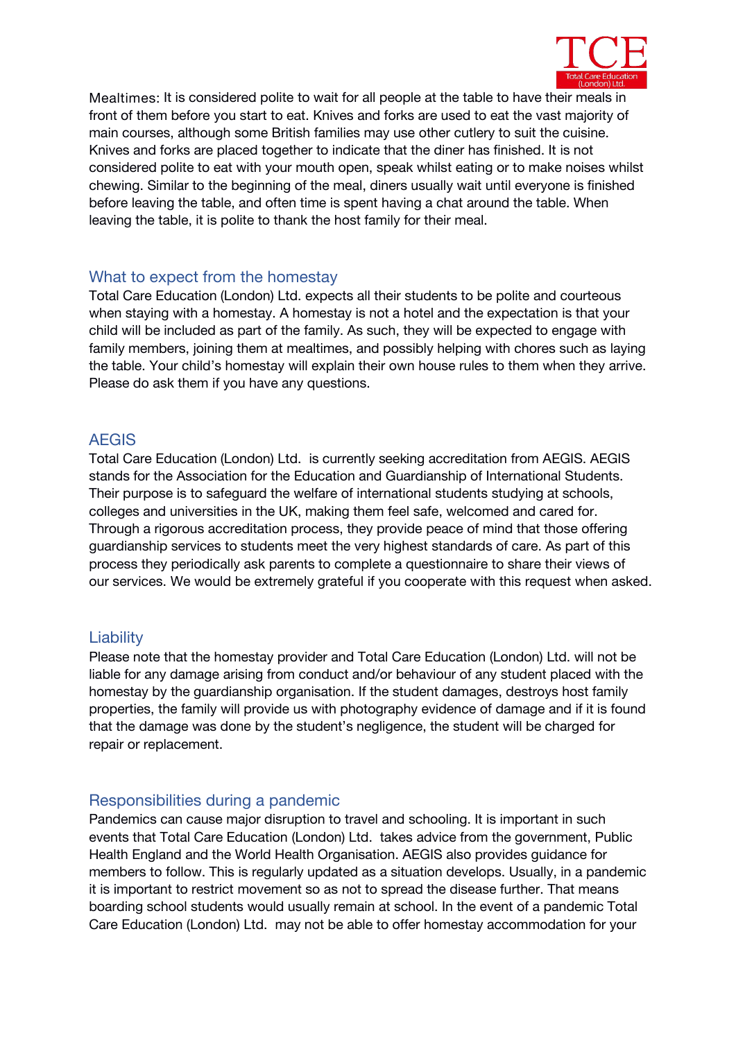

**Mealtimes:** It is considered polite to wait for all people at the table to have their meals in front of them before you start to eat. Knives and forks are used to eat the vast majority of main courses, although some British families may use other cutlery to suit the cuisine. Knives and forks are placed together to indicate that the diner has finished. It is not considered polite to eat with your mouth open, speak whilst eating or to make noises whilst chewing. Similar to the beginning of the meal, diners usually wait until everyone is finished before leaving the table, and often time is spent having a chat around the table. When leaving the table, it is polite to thank the host family for their meal.

# What to expect from the homestay

Total Care Education (London) Ltd. expects all their students to be polite and courteous when staying with a homestay. A homestay is not a hotel and the expectation is that your child will be included as part of the family. As such, they will be expected to engage with family members, joining them at mealtimes, and possibly helping with chores such as laying the table. Your child's homestay will explain their own house rules to them when they arrive. Please do ask them if you have any questions.

# AEGIS

Total Care Education (London) Ltd. *is currently seeking accreditation from AEGIS.* AEGIS stands for the Association for the Education and Guardianship of International Students. Their purpose is to safeguard the welfare of international students studying at schools, colleges and universities in the UK, making them feel safe, welcomed and cared for. Through a rigorous accreditation process, they provide peace of mind that those offering guardianship services to students meet the very highest standards of care. As part of this process they periodically ask parents to complete a questionnaire to share their views of our services. We would be extremely grateful if you cooperate with this request when asked.

# **Liability**

Please note that the homestay provider and Total Care Education (London) Ltd. will not be liable for any damage arising from conduct and/or behaviour of any student placed with the homestay by the guardianship organisation. If the student damages, destroys host family properties, the family will provide us with photography evidence of damage and if it is found that the damage was done by the student's negligence, the student will be charged for repair or replacement.

# Responsibilities during a pandemic

Pandemics can cause major disruption to travel and schooling. It is important in such events that Total Care Education (London) Ltd. takes advice from the government, Public Health England and the World Health Organisation. AEGIS also provides guidance for members to follow. This is regularly updated as a situation develops. Usually, in a pandemic it is important to restrict movement so as not to spread the disease further. That means boarding school students would usually remain at school. In the event of a pandemic Total Care Education (London) Ltd. may not be able to offer homestay accommodation for your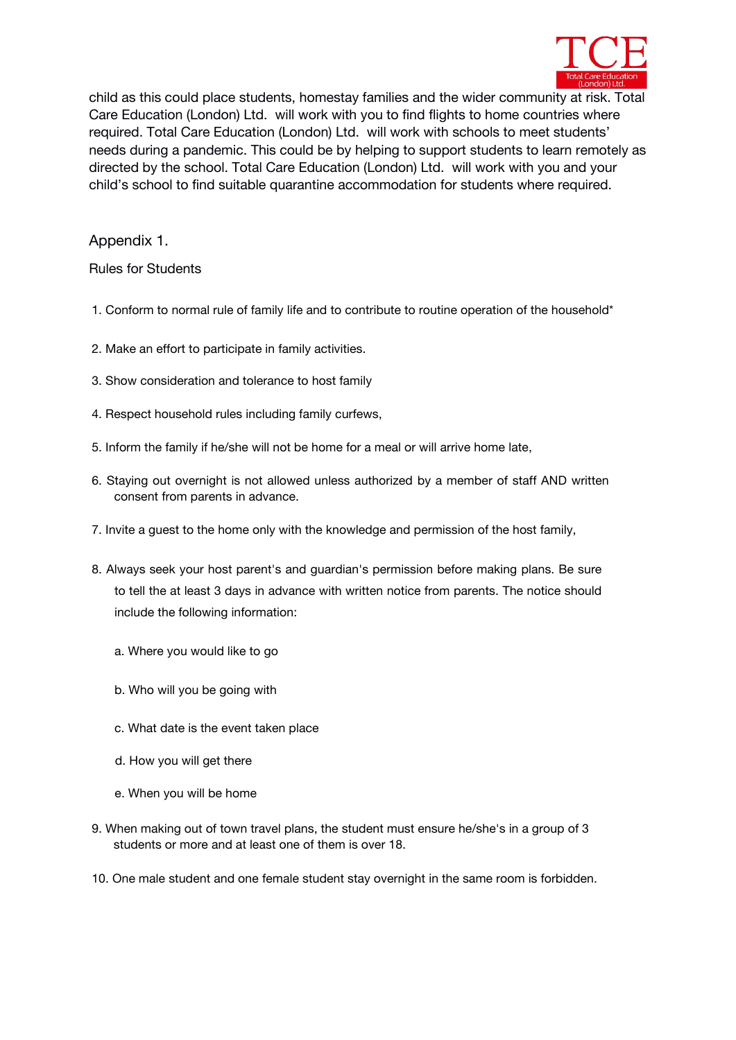

child as this could place students, homestay families and the wider community at risk. Total Care Education (London) Ltd. will work with you to find flights to home countries where required. Total Care Education (London) Ltd. will work with schools to meet students' needs during a pandemic.This could be by helping to support students to learn remotely as directed by the school. Total Care Education (London) Ltd. will work with you and your child's school to find suitable quarantine accommodation for students where required.

Appendix 1.

Rules for Students

- 1. Conform to normal rule of family life and to contribute to routine operation of the household\*
- 2. Make an effort to participate in family activities.
- 3. Show consideration and tolerance to host family
- 4. Respect household rules including family curfews,
- 5. Inform the family if he/she will not be home for a meal or will arrive home late,
- 6. Staying out overnight is not allowed unless authorized by a member of staff AND written consent from parents in advance.
- 7. Invite a guest to the home only with the knowledge and permission of the host family,
- 8. Always seek your host parent's and guardian's permission before making plans. Be sure to tell the at least 3 days in advance with written notice from parents. The notice should include the following information:
	- a. Where you would like to go
	- b. Who will you be going with
	- c. What date is the event taken place
	- d. How you will get there
	- e. When you will be home
- 9. When making out of town travel plans, the student must ensure he/she's in a group of 3 students or more and at least one of them is over 18.
- 10. One male student and one female student stay overnight in the same room is forbidden.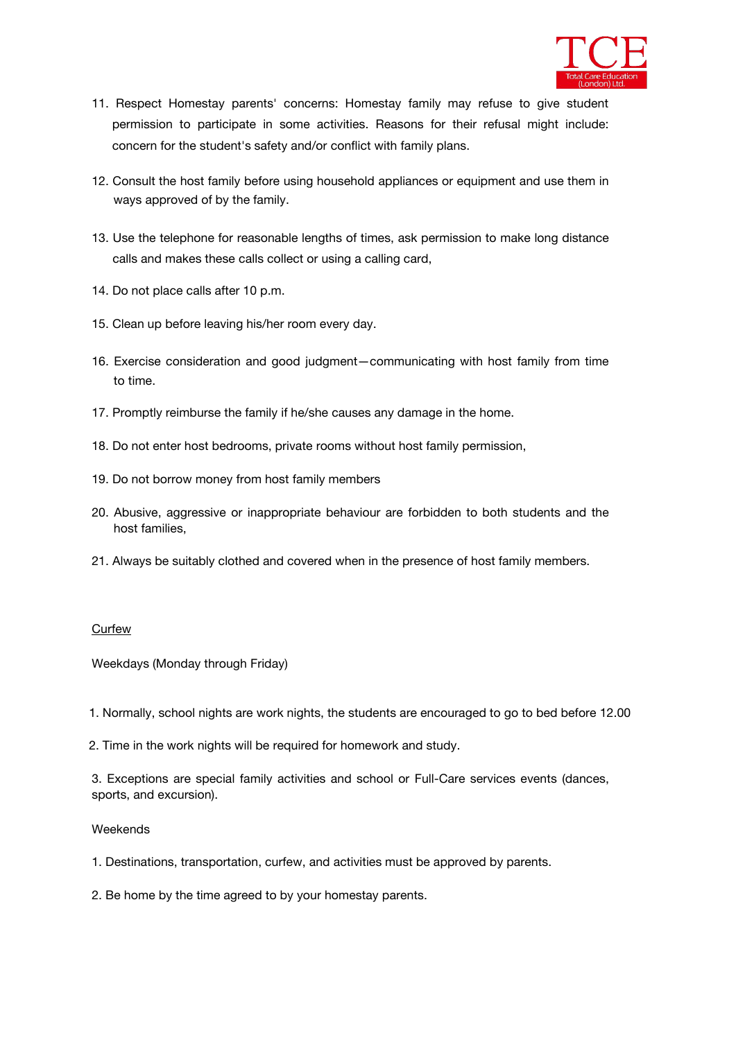

- 11. Respect Homestay parents' concerns: Homestay family may refuse to give student permission to participate in some activities. Reasons for their refusal might include: concern for the student's safety and/or conflict with family plans.
- 12. Consult the host family before using household appliances or equipment and use them in ways approved of by the family.
- 13. Use the telephone for reasonable lengths of times, ask permission to make long distance calls and makes these calls collect or using a calling card,
- 14. Do not place calls after 10 p.m.
- 15. Clean up before leaving his/her room every day.
- 16. Exercise consideration and good judgment—communicating with host family from time to time.
- 17. Promptly reimburse the family if he/she causes any damage in the home.
- 18. Do not enter host bedrooms, private rooms without host family permission,
- 19. Do not borrow money from host family members
- 20. Abusive, aggressive or inappropriate behaviour are forbidden to both students and the host families,
- 21. Always be suitably clothed and covered when in the presence of host family members.

#### Curfew

Weekdays (Monday through Friday)

1. Normally, school nights are work nights, the students are encouraged to go to bed before 12.00

2. Time in the work nights will be required for homework and study.

3. Exceptions are special family activities and school or Full-Care services events (dances, sports, and excursion).

#### Weekends

1. Destinations, transportation, curfew, and activities must be approved by parents.

2. Be home by the time agreed to by your homestay parents.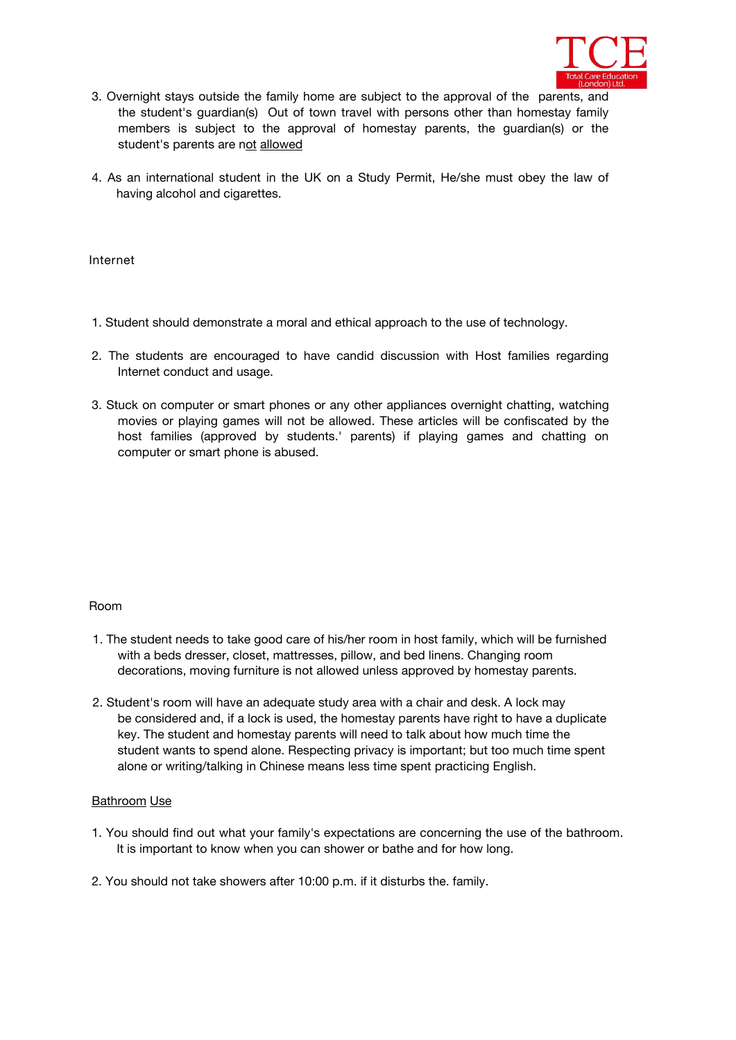

- 3. Overnight stays outside the family home are subject to the approval of the parents, and the student's guardian(s) Out of town travel with persons other than homestay family members is subject to the approval of homestay parents, the guardian(s) or the student's parents are not allowed
- 4. As an international student in the UK on a Study Permit, He/she must obey the law of having alcohol and cigarettes.

**Internet**

- 1. Student should demonstrate a moral and ethical approach to the use of technology.
- 2. The students are encouraged to have candid discussion with Host families regarding Internet conduct and usage.
- 3. Stuck on computer or smart phones or any other appliances overnight chatting, watching movies or playing games will not be allowed. These articles will be confiscated by the host families (approved by students.' parents) if playing games and chatting on computer or smart phone is abused.

#### Room

- 1. The student needs to take good care of his/her room in host family, which will be furnished with a beds dresser, closet, mattresses, pillow, and bed linens. Changing room decorations, moving furniture is not allowed unless approved by homestay parents.
- 2. Student's room will have an adequate study area with a chair and desk. A lock may be considered and, if a lock is used, the homestay parents have right to have a duplicate key. The student and homestay parents will need to talk about how much time the student wants to spend alone. Respecting privacy is important; but too much time spent alone or writing/talking in Chinese means less time spent practicing English.

#### Bathroom Use

- 1. You should find out what your family's expectations are concerning the use of the bathroom. It is important to know when you can shower or bathe and for how long.
- 2. You should not take showers after 10:00 p.m. if it disturbs the. family.